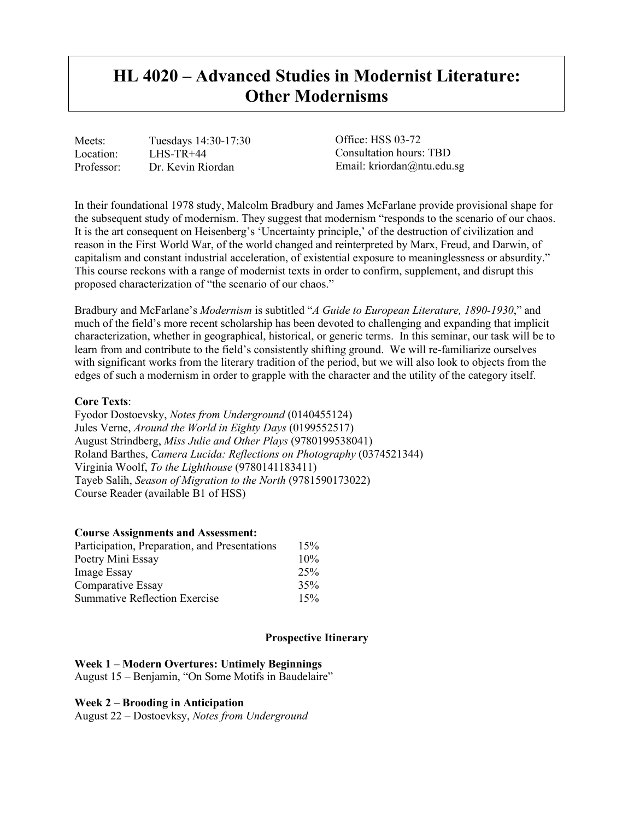# **HL 4020 – Advanced Studies in Modernist Literature: Other Modernisms**

Meets: Tuesdays 14:30-17:30 Location: LHS-TR+44<br>Professor: Dr. Kevin Ri Dr. Kevin Riordan

Office: HSS 03-72 Consultation hours: TBD Email: kriordan@ntu.edu.sg

In their foundational 1978 study, Malcolm Bradbury and James McFarlane provide provisional shape for the subsequent study of modernism. They suggest that modernism "responds to the scenario of our chaos. It is the art consequent on Heisenberg's 'Uncertainty principle,' of the destruction of civilization and reason in the First World War, of the world changed and reinterpreted by Marx, Freud, and Darwin, of capitalism and constant industrial acceleration, of existential exposure to meaninglessness or absurdity." This course reckons with a range of modernist texts in order to confirm, supplement, and disrupt this proposed characterization of "the scenario of our chaos."

Bradbury and McFarlane's *Modernism* is subtitled "*A Guide to European Literature, 1890-1930*," and much of the field's more recent scholarship has been devoted to challenging and expanding that implicit characterization, whether in geographical, historical, or generic terms. In this seminar, our task will be to learn from and contribute to the field's consistently shifting ground. We will re-familiarize ourselves with significant works from the literary tradition of the period, but we will also look to objects from the edges of such a modernism in order to grapple with the character and the utility of the category itself.

# **Core Texts**:

Fyodor Dostoevsky, *Notes from Underground* (0140455124) Jules Verne, *Around the World in Eighty Days* (0199552517) August Strindberg, *Miss Julie and Other Plays* (9780199538041) Roland Barthes, *Camera Lucida: Reflections on Photography* (0374521344) Virginia Woolf, *To the Lighthouse* (9780141183411) Tayeb Salih, *Season of Migration to the North* (9781590173022) Course Reader (available B1 of HSS)

#### **Course Assignments and Assessment:**

| Participation, Preparation, and Presentations<br>Poetry Mini Essay<br>Image Essay<br><b>Comparative Essay</b><br>Summative Reflection Exercise | 15%<br>10%<br>25%<br>35%<br>15% |
|------------------------------------------------------------------------------------------------------------------------------------------------|---------------------------------|
|------------------------------------------------------------------------------------------------------------------------------------------------|---------------------------------|

# **Prospective Itinerary**

## **Week 1 – Modern Overtures: Untimely Beginnings**

August 15 – Benjamin, "On Some Motifs in Baudelaire"

## **Week 2 – Brooding in Anticipation**

August 22 – Dostoevksy, *Notes from Underground*